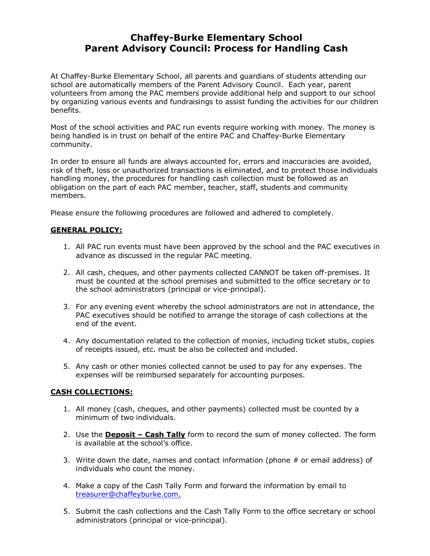## **Chaffey-Burke Elementary School Parent Advisory Council: Process for Handling Cash**

At Chaffey-Burke Elementary School, all parents and guardians of students attending our school are automatically members of the Parent Advisory Council. Each year, parent volunteers from among the PAC members provide additional help and support to our school by organizing various events and fundraisings to assist funding the activities for our children benefits.

Most of the school activities and PAC run events require working with money. The money is being handled is in trust on behalf of the entire PAC and Chaffey-Burke Elementary community.

In order to ensure all funds are always accounted for, errors and inaccuracies are avoided, risk of theft, loss or unauthorized transactions is eliminated, and to protect those individuals handling money, the procedures for handling cash collection must be followed as an obligation on the part of each PAC member, teacher, staff, students and community members.

Please ensure the following procedures are followed and adhered to completely.

## **GENERAL POLICY:**

- 1. All PAC run events must have been approved by the school and the PAC executives in advance as discussed in the regular PAC meeting.
- 2. All cash, cheques, and other payments collected CANNOT be taken off-premises. It must be counted at the school premises and submitted to the office secretary or to the school administrators (principal or vice-principal).
- 3. For any evening event whereby the school administrators are not in attendance, the PAC executives should be notified to arrange the storage of cash collections at the end of the event.
- 4. Any documentation related to the collection of monies, including ticket stubs, copies of receipts issued, etc. must be also be collected and included.
- 5. Any cash or other monies collected cannot be used to pay for any expenses. The expenses will be reimbursed separately for accounting purposes.

## **CASH COLLECTIONS:**

- 1. All money (cash, cheques, and other payments) collected must be counted by a minimum of two individuals.
- 2. Use the **Deposit – Cash Tally** form to record the sum of money collected. The form is available at the school's office.
- 3. Write down the date, names and contact information (phone  $#$  or email address) of individuals who count the money.
- 4. Make a copy of the Cash Tally Form and forward the information by email to [treasurer@chaffeyburke.com.](mailto:treasurer@chaffeyburke.com)
- 5. Submit the cash collections and the Cash Tally Form to the office secretary or school administrators (principal or vice-principal).